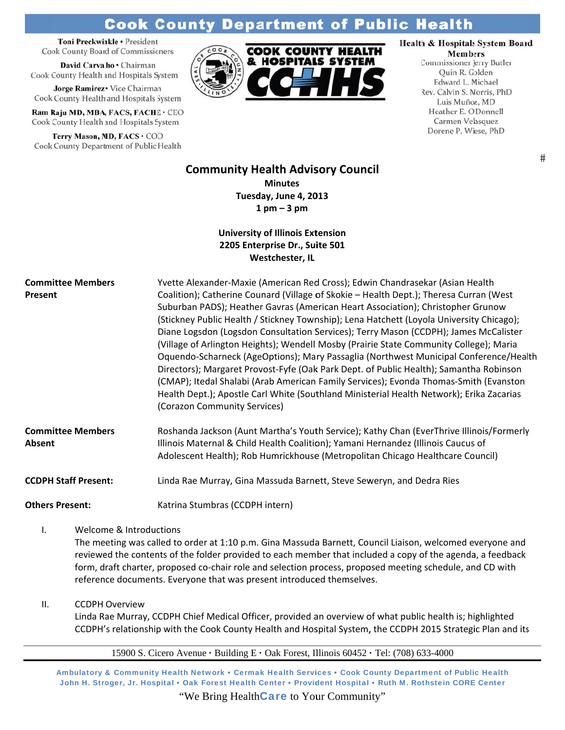# **Cook County Department of Public Health**

Toni Preckwinkle · President **Cook County Board of Commissioners** 

David Carvalho · Chairman Cook County Health and Hospitals System

Jorge Ramirez . Vice Chairman Cook County Health and Hospitals System

Ram Raju MD, MBA, FACS, FACHE · CEO Cook County Health and Hospitals System

Terry Mason, MD, FACS . COO Cook County Department of Public Health



# Health & Hospitals System Board

**Members** Commissioner Jerry Butler Quin R. Golden Edward L. Michael Rev. Calvin S. Morris, PhD Luis Muñoz, MD Heather E. O'Donnell Carmen Velasquez Dorene P. Wiese, PhD

 $#$ 

## **Community Health Advisory Council Minutes** Tuesday, June 4, 2013  $1$  pm  $-3$  pm

## **University of Illinois Extension** 2205 Enterprise Dr., Suite 501 Westchester, IL

| <b>Committee Members</b><br>Present | Yvette Alexander-Maxie (American Red Cross); Edwin Chandrasekar (Asian Health<br>Coalition); Catherine Counard (Village of Skokie - Health Dept.); Theresa Curran (West<br>Suburban PADS); Heather Gavras (American Heart Association); Christopher Grunow<br>(Stickney Public Health / Stickney Township); Lena Hatchett (Loyola University Chicago);<br>Diane Logsdon (Logsdon Consultation Services); Terry Mason (CCDPH); James McCalister<br>(Village of Arlington Heights); Wendell Mosby (Prairie State Community College); Maria<br>Oquendo-Scharneck (AgeOptions); Mary Passaglia (Northwest Municipal Conference/Health<br>Directors); Margaret Provost-Fyfe (Oak Park Dept. of Public Health); Samantha Robinson<br>(CMAP); Itedal Shalabi (Arab American Family Services); Evonda Thomas-Smith (Evanston<br>Health Dept.); Apostle Carl White (Southland Ministerial Health Network); Erika Zacarias<br>(Corazon Community Services) |
|-------------------------------------|--------------------------------------------------------------------------------------------------------------------------------------------------------------------------------------------------------------------------------------------------------------------------------------------------------------------------------------------------------------------------------------------------------------------------------------------------------------------------------------------------------------------------------------------------------------------------------------------------------------------------------------------------------------------------------------------------------------------------------------------------------------------------------------------------------------------------------------------------------------------------------------------------------------------------------------------------|
| <b>Committee Members</b><br>Absent  | Roshanda Jackson (Aunt Martha's Youth Service); Kathy Chan (EverThrive Illinois/Formerly<br>Illinois Maternal & Child Health Coalition); Yamani Hernandez (Illinois Caucus of<br>Adolescent Health); Rob Humrickhouse (Metropolitan Chicago Healthcare Council)                                                                                                                                                                                                                                                                                                                                                                                                                                                                                                                                                                                                                                                                                  |
| <b>CCDPH Staff Present:</b>         | Linda Rae Murray, Gina Massuda Barnett, Steve Seweryn, and Dedra Ries                                                                                                                                                                                                                                                                                                                                                                                                                                                                                                                                                                                                                                                                                                                                                                                                                                                                            |
| <b>Others Present:</b>              | Katrina Stumbras (CCDPH intern)                                                                                                                                                                                                                                                                                                                                                                                                                                                                                                                                                                                                                                                                                                                                                                                                                                                                                                                  |

 $\mathbf{L}$ Welcome & Introductions

> The meeting was called to order at 1:10 p.m. Gina Massuda Barnett, Council Liaison, welcomed everyone and reviewed the contents of the folder provided to each member that included a copy of the agenda, a feedback form, draft charter, proposed co-chair role and selection process, proposed meeting schedule, and CD with reference documents. Everyone that was present introduced themselves.

 $II.$ **CCDPH Overview** 

> Linda Rae Murray, CCDPH Chief Medical Officer, provided an overview of what public health is; highlighted CCDPH's relationship with the Cook County Health and Hospital System, the CCDPH 2015 Strategic Plan and its

15900 S. Cicero Avenue · Building E · Oak Forest, Illinois 60452 · Tel: (708) 633-4000

Ambulatory & Community Health Network • Cermak Health Services • Cook County Department of Public Health John H. Stroger, Jr. Hospital . Oak Forest Health Center . Provident Hospital . Ruth M. Rothstein CORE Center

"We Bring Health**Care** to Your Community"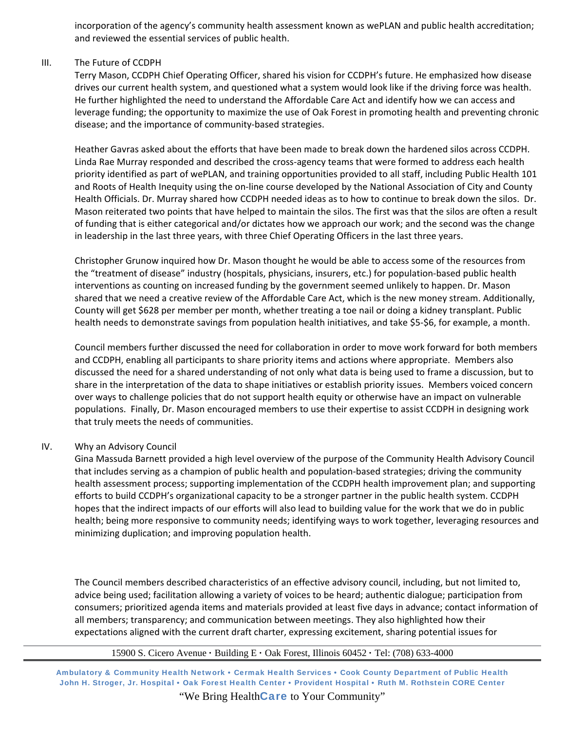incorporation of the agency's community health assessment known as wePLAN and public health accreditation; and reviewed the essential services of public health.

#### III. The Future of CCDPH

Terry Mason, CCDPH Chief Operating Officer, shared his vision for CCDPH's future. He emphasized how disease drives our current health system, and questioned what a system would look like if the driving force was health. He further highlighted the need to understand the Affordable Care Act and identify how we can access and leverage funding; the opportunity to maximize the use of Oak Forest in promoting health and preventing chronic disease; and the importance of community‐based strategies.

Heather Gavras asked about the efforts that have been made to break down the hardened silos across CCDPH. Linda Rae Murray responded and described the cross‐agency teams that were formed to address each health priority identified as part of wePLAN, and training opportunities provided to all staff, including Public Health 101 and Roots of Health Inequity using the on‐line course developed by the National Association of City and County Health Officials. Dr. Murray shared how CCDPH needed ideas as to how to continue to break down the silos. Dr. Mason reiterated two points that have helped to maintain the silos. The first was that the silos are often a result of funding that is either categorical and/or dictates how we approach our work; and the second was the change in leadership in the last three years, with three Chief Operating Officers in the last three years.

Christopher Grunow inquired how Dr. Mason thought he would be able to access some of the resources from the "treatment of disease" industry (hospitals, physicians, insurers, etc.) for population‐based public health interventions as counting on increased funding by the government seemed unlikely to happen. Dr. Mason shared that we need a creative review of the Affordable Care Act, which is the new money stream. Additionally, County will get \$628 per member per month, whether treating a toe nail or doing a kidney transplant. Public health needs to demonstrate savings from population health initiatives, and take \$5‐\$6, for example, a month.

Council members further discussed the need for collaboration in order to move work forward for both members and CCDPH, enabling all participants to share priority items and actions where appropriate. Members also discussed the need for a shared understanding of not only what data is being used to frame a discussion, but to share in the interpretation of the data to shape initiatives or establish priority issues. Members voiced concern over ways to challenge policies that do not support health equity or otherwise have an impact on vulnerable populations. Finally, Dr. Mason encouraged members to use their expertise to assist CCDPH in designing work that truly meets the needs of communities.

#### IV. Why an Advisory Council

Gina Massuda Barnett provided a high level overview of the purpose of the Community Health Advisory Council that includes serving as a champion of public health and population‐based strategies; driving the community health assessment process; supporting implementation of the CCDPH health improvement plan; and supporting efforts to build CCDPH's organizational capacity to be a stronger partner in the public health system. CCDPH hopes that the indirect impacts of our efforts will also lead to building value for the work that we do in public health; being more responsive to community needs; identifying ways to work together, leveraging resources and minimizing duplication; and improving population health.

The Council members described characteristics of an effective advisory council, including, but not limited to, advice being used; facilitation allowing a variety of voices to be heard; authentic dialogue; participation from consumers; prioritized agenda items and materials provided at least five days in advance; contact information of all members; transparency; and communication between meetings. They also highlighted how their expectations aligned with the current draft charter, expressing excitement, sharing potential issues for

#### 15900 S. Cicero Avenue **·** Building E **·** Oak Forest, Illinois 60452 **·** Tel: (708) 633-4000

Ambulatory & Community Health Network • Cermak Health Services • Cook County Department of Public Health John H. Stroger, Jr. Hospital • Oak Forest Health Center • Provident Hospital • Ruth M. Rothstein CORE Center